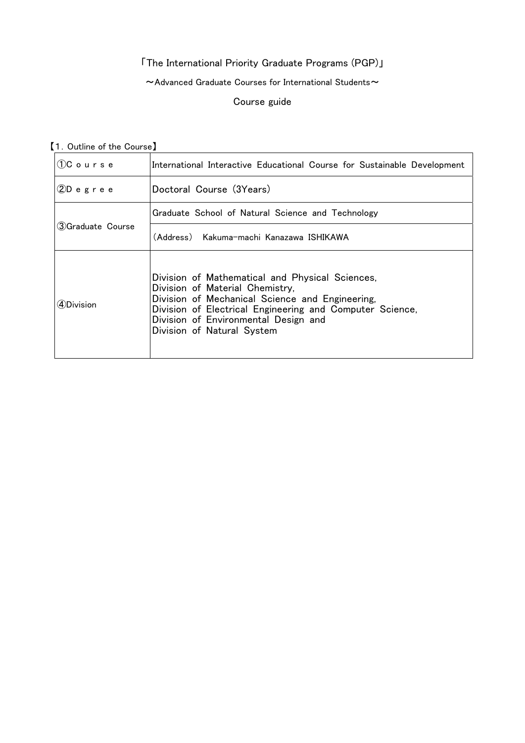# 「The International Priority Graduate Programs (PGP)」

 $\sim$  Advanced Graduate Courses for International Students $\sim$ 

#### Course guide

【1.Outline of the Course】

| $(1)$ Course       | International Interactive Educational Course for Sustainable Development                                                                                                                                                                                                |
|--------------------|-------------------------------------------------------------------------------------------------------------------------------------------------------------------------------------------------------------------------------------------------------------------------|
| $2D$ egree         | Doctoral Course (3Years)                                                                                                                                                                                                                                                |
| 3) Graduate Course | Graduate School of Natural Science and Technology                                                                                                                                                                                                                       |
|                    | (Address) Kakuma-machi Kanazawa ISHIKAWA                                                                                                                                                                                                                                |
| 4Division          | Division of Mathematical and Physical Sciences,<br>Division of Material Chemistry,<br>Division of Mechanical Science and Engineering,<br>Division of Electrical Engineering and Computer Science,<br>Division of Environmental Design and<br>Division of Natural System |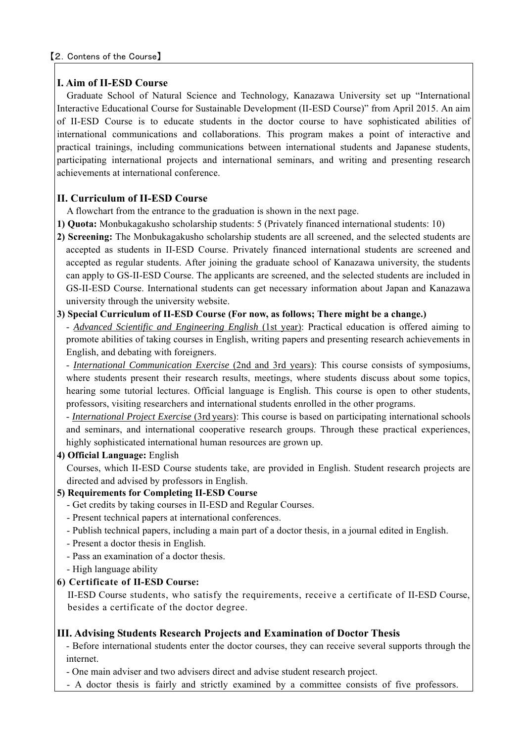# **I. Aim of II-ESD Course**

Graduate School of Natural Science and Technology, Kanazawa University set up "International Interactive Educational Course for Sustainable Development (II-ESD Course)" from April 2015. An aim of II-ESD Course is to educate students in the doctor course to have sophisticated abilities of international communications and collaborations. This program makes a point of interactive and practical trainings, including communications between international students and Japanese students, participating international projects and international seminars, and writing and presenting research achievements at international conference.

# **II. Curriculum of II-ESD Course**

A flowchart from the entrance to the graduation is shown in the next page.

- **1) Quota:** Monbukagakusho scholarship students: 5 (Privately financed international students: 10)
- **2) Screening:** The Monbukagakusho scholarship students are all screened, and the selected students are accepted as students in II-ESD Course. Privately financed international students are screened and accepted as regular students. After joining the graduate school of Kanazawa university, the students can apply to GS-II-ESD Course. The applicants are screened, and the selected students are included in GS-II-ESD Course. International students can get necessary information about Japan and Kanazawa university through the university website.

## **3) Special Curriculum of II-ESD Course (For now, as follows; There might be a change.)**

- *Advanced Scientific and Engineering English* (1st year): Practical education is offered aiming to promote abilities of taking courses in English, writing papers and presenting research achievements in English, and debating with foreigners.

- *International Communication Exercise* (2nd and 3rd years): This course consists of symposiums, where students present their research results, meetings, where students discuss about some topics, hearing some tutorial lectures. Official language is English. This course is open to other students, professors, visiting researchers and international students enrolled in the other programs.

- *International Project Exercise* (3rd years): This course is based on participating international schools and seminars, and international cooperative research groups. Through these practical experiences, highly sophisticated international human resources are grown up.

# **4) Official Language:** English

Courses, which II-ESD Course students take, are provided in English. Student research projects are directed and advised by professors in English.

### **5) Requirements for Completing II-ESD Course**

- Get credits by taking courses in II-ESD and Regular Courses.
- Present technical papers at international conferences.
- Publish technical papers, including a main part of a doctor thesis, in a journal edited in English.
- Present a doctor thesis in English.
- Pass an examination of a doctor thesis.
- High language ability

# **6) Certificate of II-ESD Course:**

II-ESD Course students, who satisfy the requirements, receive a certificate of II-ESD Course, besides a certificate of the doctor degree.

# **III. Advising Students Research Projects and Examination of Doctor Thesis**

- Before international students enter the doctor courses, they can receive several supports through the internet.

- One main adviser and two advisers direct and advise student research project.

- A doctor thesis is fairly and strictly examined by a committee consists of five professors.